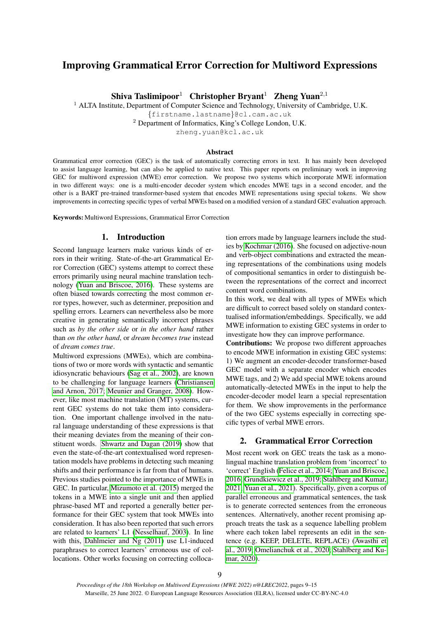# Improving Grammatical Error Correction for Multiword Expressions

Shiva Taslimipoor<sup>1</sup> Christopher Bryant<sup>1</sup> Zheng Yuan<sup>2,1</sup>

 $1$  ALTA Institute, Department of Computer Science and Technology, University of Cambridge, U.K.

{firstname.lastname}@cl.cam.ac.uk

<sup>2</sup> Department of Informatics, King's College London, U.K.

zheng.yuan@kcl.ac.uk

#### **Abstract**

Grammatical error correction (GEC) is the task of automatically correcting errors in text. It has mainly been developed to assist language learning, but can also be applied to native text. This paper reports on preliminary work in improving GEC for multiword expression (MWE) error correction. We propose two systems which incorporate MWE information in two different ways: one is a multi-encoder decoder system which encodes MWE tags in a second encoder, and the other is a BART pre-trained transformer-based system that encodes MWE representations using special tokens. We show improvements in correcting specific types of verbal MWEs based on a modified version of a standard GEC evaluation approach.

Keywords: Multiword Expressions, Grammatical Error Correction

# 1. Introduction

Second language learners make various kinds of errors in their writing. State-of-the-art Grammatical Error Correction (GEC) systems attempt to correct these errors primarily using neural machine translation technology [\(Yuan and Briscoe, 2016\)](#page-6-0). These systems are often biased towards correcting the most common error types, however, such as determiner, preposition and spelling errors. Learners can nevertheless also be more creative in generating semantically incorrect phrases such as *by the other side* or *in the other hand* rather than *on the other hand*, or *dream becomes true* instead of *dream comes true*.

Multiword expressions (MWEs), which are combinations of two or more words with syntactic and semantic idiosyncratic behaviours [\(Sag et al., 2002\)](#page-5-0), are known to be challenging for language learners [\(Christiansen](#page-4-0) [and Arnon, 2017;](#page-4-0) [Meunier and Granger, 2008\)](#page-5-1). However, like most machine translation (MT) systems, current GEC systems do not take them into consideration. One important challenge involved in the natural language understanding of these expressions is that their meaning deviates from the meaning of their constituent words. [Shwartz and Dagan \(2019\)](#page-5-2) show that even the state-of-the-art contextualised word representation models have problems in detecting such meaning shifts and their performance is far from that of humans. Previous studies pointed to the importance of MWEs in GEC. In particular, [Mizumoto et al. \(2015\)](#page-5-3) merged the tokens in a MWE into a single unit and then applied phrase-based MT and reported a generally better performance for their GEC system that took MWEs into consideration. It has also been reported that such errors are related to learners' L1 [\(Nesselhauf, 2003\)](#page-5-4). In line with this, [Dahlmeier and Ng \(2011\)](#page-4-1) use L1-induced paraphrases to correct learners' erroneous use of collocations. Other works focusing on correcting collocation errors made by language learners include the studies by [Kochmar \(2016\)](#page-5-5). She focused on adjective-noun and verb-object combinations and extracted the meaning representations of the combinations using models of compositional semantics in order to distinguish between the representations of the correct and incorrect content word combinations.

In this work, we deal with all types of MWEs which are difficult to correct based solely on standard contextualised information/embeddings. Specifically, we add MWE information to existing GEC systems in order to investigate how they can improve performance.

Contributions: We propose two different approaches to encode MWE information in existing GEC systems: 1) We augment an encoder-decoder transformer-based GEC model with a separate encoder which encodes MWE tags, and 2) We add special MWE tokens around automatically-detected MWEs in the input to help the encoder-decoder model learn a special representation for them. We show improvements in the performance of the two GEC systems especially in correcting specific types of verbal MWE errors.

### 2. Grammatical Error Correction

Most recent work on GEC treats the task as a monolingual machine translation problem from 'incorrect' to 'correct' English [\(Felice et al., 2014;](#page-5-6) [Yuan and Briscoe,](#page-6-0) [2016;](#page-6-0) [Grundkiewicz et al., 2019;](#page-5-7) [Stahlberg and Kumar,](#page-6-1) [2021;](#page-6-1) [Yuan et al., 2021\)](#page-6-2). Specifically, given a corpus of parallel erroneous and grammatical sentences, the task is to generate corrected sentences from the erroneous sentences. Alternatively, another recent promising approach treats the task as a sequence labelling problem where each token label represents an edit in the sentence (e.g. KEEP, DELETE, REPLACE) [\(Awasthi et](#page-4-2) [al., 2019;](#page-4-2) [Omelianchuk et al., 2020;](#page-5-8) [Stahlberg and Ku](#page-5-9)[mar, 2020\)](#page-5-9).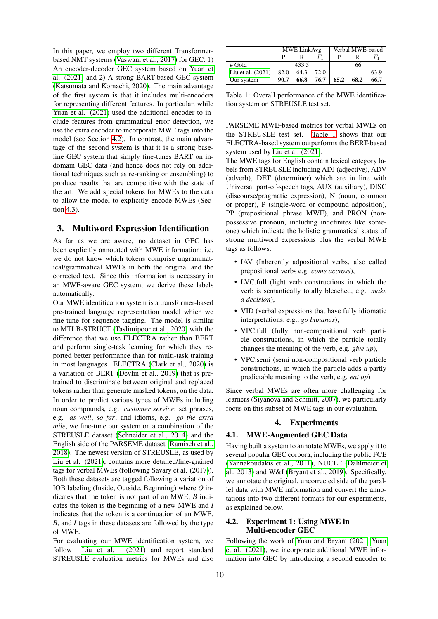In this paper, we employ two different Transformerbased NMT systems [\(Vaswani et al., 2017\)](#page-6-3) for GEC: 1) An encoder-decoder GEC system based on [Yuan et](#page-6-2) [al. \(2021\)](#page-6-2) and 2) A strong BART-based GEC system [\(Katsumata and Komachi, 2020\)](#page-5-10). The main advantage of the first system is that it includes multi-encoders for representing different features. In particular, while [Yuan et al. \(2021\)](#page-6-2) used the additional encoder to include features from grammatical error detection, we use the extra encoder to incorporate MWE tags into the model (see Section [4.2\)](#page-1-0). In contrast, the main advantage of the second system is that it is a strong baseline GEC system that simply fine-tunes BART on indomain GEC data (and hence does not rely on additional techniques such as re-ranking or ensembling) to produce results that are competitive with the state of the art. We add special tokens for MWEs to the data to allow the model to explicitly encode MWEs (Section [4.3\)](#page-2-0).

### <span id="page-1-2"></span>3. Multiword Expression Identification

As far as we are aware, no dataset in GEC has been explicitly annotated with MWE information; i.e. we do not know which tokens comprise ungrammatical/grammatical MWEs in both the original and the corrected text. Since this information is necessary in an MWE-aware GEC system, we derive these labels automatically.

Our MWE identification system is a transformer-based pre-trained language representation model which we fine-tune for sequence tagging. The model is similar to MTLB-STRUCT [\(Taslimipoor et al., 2020\)](#page-6-4) with the difference that we use ELECTRA rather than BERT and perform single-task learning for which they reported better performance than for multi-task training in most languages. ELECTRA [\(Clark et al., 2020\)](#page-4-3) is a variation of BERT [\(Devlin et al., 2019\)](#page-4-4) that is pretrained to discriminate between original and replaced tokens rather than generate masked tokens, on the data. In order to predict various types of MWEs including noun compounds, e.g. *customer service*; set phrases, e.g. *as well*, *so far*; and idioms, e.g. *go the extra mile*, we fine-tune our system on a combination of the STREUSLE dataset [\(Schneider et al., 2014\)](#page-5-11) and the English side of the PARSEME dataset [\(Ramisch et al.,](#page-5-12) [2018\)](#page-5-12). The newest version of STREUSLE, as used by [Liu et al. \(2021\)](#page-5-13), contains more detailed/fine-grained tags for verbal MWEs (following [Savary et al. \(2017\)](#page-5-14)). Both these datasets are tagged following a variation of IOB labeling (Inside, Outside, Beginning) where *O* indicates that the token is not part of an MWE, *B* indicates the token is the beginning of a new MWE and *I* indicates that the token is a continuation of an MWE. *B*, and *I* tags in these datasets are followed by the type of MWE.

For evaluating our MWE identification system, we follow [Liu et al. \(2021\)](#page-5-13) and report standard STREUSLE evaluation metrics for MWEs and also

|                     |      | <b>MWE LinkAvg</b> |      | Verbal MWE-based |      |       |  |
|---------------------|------|--------------------|------|------------------|------|-------|--|
|                     |      |                    | F,   |                  |      | $F_1$ |  |
| $#$ Gold            |      | 433.5              |      |                  | 66   |       |  |
| Liu et al. $(2021)$ | 82.0 | 64.3               | 72.0 |                  |      | 63.9  |  |
| Our system          | 90.7 | 66.8               | 76.7 | 65.2             | 68.2 | 66.7  |  |

<span id="page-1-1"></span>Table 1: Overall performance of the MWE identification system on STREUSLE test set.

PARSEME MWE-based metrics for verbal MWEs on the STREUSLE test set. [Table 1](#page-1-1) shows that our ELECTRA-based system outperforms the BERT-based system used by [Liu et al. \(2021\)](#page-5-13).

The MWE tags for English contain lexical category labels from STREUSLE including ADJ (adjective), ADV (adverb), DET (determiner) which are in line with Universal part-of-speech tags, AUX (auxiliary), DISC (discourse/pragmatic expression), N (noun, common or proper), P (single-word or compound adposition), PP (prepositional phrase MWE), and PRON (nonpossessive pronoun, including indefinites like someone) which indicate the holistic grammatical status of strong multiword expressions plus the verbal MWE tags as follows:

- IAV (Inherently adpositional verbs, also called prepositional verbs e.g. *come accross*),
- LVC.full (light verb constructions in which the verb is semantically totally bleached, e.g. *make a decision*),
- VID (verbal expressions that have fully idiomatic interpretations, e.g., *go bananas*),
- VPC.full (fully non-compositional verb particle constructions, in which the particle totally changes the meaning of the verb, e.g. *give up*),
- VPC.semi (semi non-compositional verb particle constructions, in which the particle adds a partly predictable meaning to the verb, e.g. *eat up*)

Since verbal MWEs are often more challenging for learners [\(Siyanova and Schmitt, 2007\)](#page-5-15), we particularly focus on this subset of MWE tags in our evaluation.

### 4. Experiments

#### 4.1. MWE-Augmented GEC Data

Having built a system to annotate MWEs, we apply it to several popular GEC corpora, including the public FCE [\(Yannakoudakis et al., 2011\)](#page-6-5), NUCLE [\(Dahlmeier et](#page-4-5) [al., 2013\)](#page-4-5) and W&I [\(Bryant et al., 2019\)](#page-4-6). Specifically, we annotate the original, uncorrected side of the parallel data with MWE information and convert the annotations into two different formats for our experiments, as explained below.

### <span id="page-1-0"></span>4.2. Experiment 1: Using MWE in Multi-encoder GEC

Following the work of [Yuan and Bryant \(2021;](#page-6-6) [Yuan](#page-6-2) [et al. \(2021\)](#page-6-2), we incorporate additional MWE information into GEC by introducing a second encoder to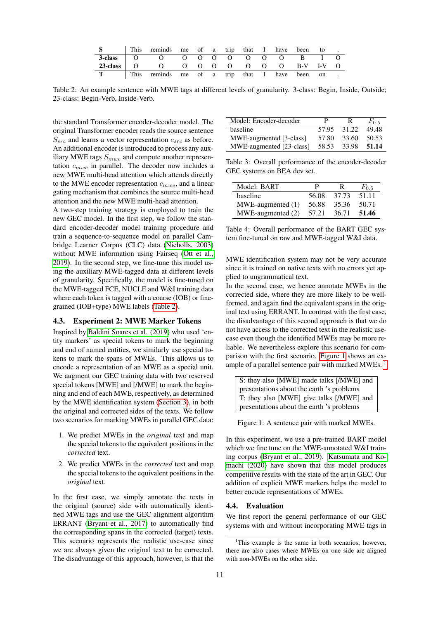|                                   | This reminds me of a trip that I have been    |  |  |  |  | to                  |  |
|-----------------------------------|-----------------------------------------------|--|--|--|--|---------------------|--|
| $3$ -class $\qquad$ O             | $\overline{O}$                                |  |  |  |  | $\sim$ 1.000 $\sim$ |  |
| $23$ -class $\qquad \qquad \circ$ | – O                                           |  |  |  |  |                     |  |
|                                   | This reminds me of a trip that I have been on |  |  |  |  |                     |  |

<span id="page-2-1"></span>Table 2: An example sentence with MWE tags at different levels of granularity. 3-class: Begin, Inside, Outside; 23-class: Begin-Verb, Inside-Verb.

the standard Transformer encoder-decoder model. The original Transformer encoder reads the source sentence  $S_{src}$  and learns a vector representation  $c_{src}$  as before. An additional encoder is introduced to process any auxiliary MWE tags  $S_{mwe}$  and compute another representation  $c_{mwe}$  in parallel. The decoder now includes a new MWE multi-head attention which attends directly to the MWE encoder representation  $c_{mwe}$ , and a linear gating mechanism that combines the source multi-head attention and the new MWE multi-head attention.

A two-step training strategy is employed to train the new GEC model. In the first step, we follow the standard encoder-decoder model training procedure and train a sequence-to-sequence model on parallel Cambridge Learner Corpus (CLC) data [\(Nicholls, 2003\)](#page-5-16) without MWE information using Fairseq [\(Ott et al.,](#page-5-17) [2019\)](#page-5-17). In the second step, we fine-tune this model using the auxiliary MWE-tagged data at different levels of granularity. Specifically, the model is fine-tuned on the MWE-tagged FCE, NUCLE and W&I training data where each token is tagged with a coarse (IOB) or finegrained (IOB+type) MWE labels [\(Table 2\)](#page-2-1).

#### <span id="page-2-0"></span>4.3. Experiment 2: MWE Marker Tokens

Inspired by [Baldini Soares et al. \(2019\)](#page-4-7) who used 'entity markers' as special tokens to mark the beginning and end of named entities, we similarly use special tokens to mark the spans of MWEs. This allows us to encode a representation of an MWE as a special unit. We augment our GEC training data with two reserved special tokens [MWE] and [/MWE] to mark the beginning and end of each MWE, respectively, as determined by the MWE identification system [\(Section 3\)](#page-1-2), in both the original and corrected sides of the texts. We follow two scenarios for marking MWEs in parallel GEC data:

- 1. We predict MWEs in the *original* text and map the special tokens to the equivalent positions in the *corrected* text.
- 2. We predict MWEs in the *corrected* text and map the special tokens to the equivalent positions in the *original* text.

In the first case, we simply annotate the texts in the original (source) side with automatically identified MWE tags and use the GEC alignment algorithm ERRANT [\(Bryant et al., 2017\)](#page-4-8) to automatically find the corresponding spans in the corrected (target) texts. This scenario represents the realistic use-case since we are always given the original text to be corrected. The disadvantage of this approach, however, is that the

| Model: Encoder-decoder   | р     | R           | $F_{0.5}$ |
|--------------------------|-------|-------------|-----------|
| baseline                 | 57.95 | 31.22       | 49.48     |
| MWE-augmented [3-class]  | 57.80 | 33.60       | 50.53     |
| MWE-augmented [23-class] |       | 58.53 33.98 | 51.14     |

<span id="page-2-4"></span>Table 3: Overall performance of the encoder-decoder GEC systems on BEA dev set.

| Model: BART            | р     | R     | $F_{0.5}$ |
|------------------------|-------|-------|-----------|
| baseline               | 56.08 | 37.73 | 51.11     |
| $MWE$ -augmented $(1)$ | 56.88 | 35.36 | 50.71     |
| MWE-augmented (2)      | 57.21 | 36.71 | 51.46     |

<span id="page-2-5"></span>Table 4: Overall performance of the BART GEC system fine-tuned on raw and MWE-tagged W&I data.

MWE identification system may not be very accurate since it is trained on native texts with no errors yet applied to ungrammatical text.

In the second case, we hence annotate MWEs in the corrected side, where they are more likely to be wellformed, and again find the equivalent spans in the original text using ERRANT. In contrast with the first case, the disadvantage of this second approach is that we do not have access to the corrected text in the realistic usecase even though the identified MWEs may be more reliable. We nevertheless explore this scenario for comparison with the first scenario. [Figure 1](#page-2-2) shows an ex-ample of a parallel sentence pair with marked MWEs.<sup>[1](#page-2-3)</sup>

S: they also [MWE] made talks [/MWE] and presentations about the earth 's problems T: they also [MWE] give talks [/MWE] and presentations about the earth 's problems

<span id="page-2-2"></span>Figure 1: A sentence pair with marked MWEs.

In this experiment, we use a pre-trained BART model which we fine tune on the MWE-annotated W&I training corpus [\(Bryant et al., 2019\)](#page-4-6). [Katsumata and Ko](#page-5-10)[machi \(2020\)](#page-5-10) have shown that this model produces competitive results with the state of the art in GEC. Our addition of explicit MWE markers helps the model to better encode representations of MWEs.

#### 4.4. Evaluation

We first report the general performance of our GEC systems with and without incorporating MWE tags in

<span id="page-2-3"></span><sup>&</sup>lt;sup>1</sup>This example is the same in both scenarios, however, there are also cases where MWEs on one side are aligned with non-MWEs on the other side.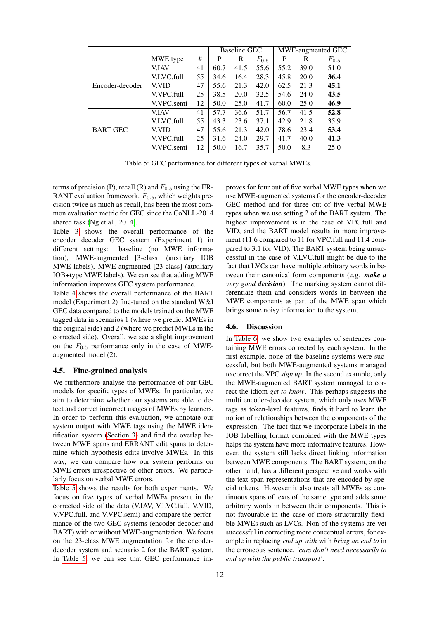|                 |              |    |      | <b>Baseline GEC</b> |           | MWE-augmented GEC |      |           |
|-----------------|--------------|----|------|---------------------|-----------|-------------------|------|-----------|
|                 | MWE type     | #  | P    | R                   | $F_{0.5}$ | P                 | R    | $F_{0.5}$ |
| Encoder-decoder | V.IAV        | 41 | 60.7 | 41.5                | 55.6      | 55.2              | 39.0 | 51.0      |
|                 | V.LVC.full   | 55 | 34.6 | 16.4                | 28.3      | 45.8              | 20.0 | 36.4      |
|                 | <b>V.VID</b> | 47 | 55.6 | 21.3                | 42.0      | 62.5              | 21.3 | 45.1      |
|                 | V.VPC.full   | 25 | 38.5 | <b>20.0</b>         | 32.5      | 54.6              | 24.0 | 43.5      |
|                 | V.VPC.semi   | 12 | 50.0 | 25.0                | 41.7      | 60.0              | 25.0 | 46.9      |
| <b>BART GEC</b> | <b>V.IAV</b> | 41 | 57.7 | 36.6                | 51.7      | 56.7              | 41.5 | 52.8      |
|                 | V.LVC.full   | 55 | 43.3 | 23.6                | 37.1      | 42.9              | 21.8 | 35.9      |
|                 | V.VID        | 47 | 55.6 | 21.3                | 42.0      | 78.6              | 23.4 | 53.4      |
|                 | V.VPC.full   | 25 | 31.6 | 24.0                | 29.7      | 41.7              | 40.0 | 41.3      |
|                 | V.VPC.semi   | 12 | 50.0 | 16.7                | 35.7      | 50.0              | 8.3  | 25.0      |

<span id="page-3-0"></span>Table 5: GEC performance for different types of verbal MWEs.

terms of precision (P), recall (R) and  $F_{0.5}$  using the ER-RANT evaluation framework.  $F_{0.5}$ , which weights precision twice as much as recall, has been the most common evaluation metric for GEC since the CoNLL-2014 shared task [\(Ng et al., 2014\)](#page-5-18).

[Table 3](#page-2-4) shows the overall performance of the encoder decoder GEC system (Experiment 1) in different settings: baseline (no MWE information), MWE-augmented [3-class] (auxiliary IOB MWE labels), MWE-augmented [23-class] (auxiliary IOB+type MWE labels). We can see that adding MWE information improves GEC system performance.

[Table 4](#page-2-5) shows the overall performance of the BART model (Experiment 2) fine-tuned on the standard W&I GEC data compared to the models trained on the MWE tagged data in scenarios 1 (where we predict MWEs in the original side) and 2 (where we predict MWEs in the corrected side). Overall, we see a slight improvement on the  $F_{0.5}$  performance only in the case of MWEaugmented model (2).

#### 4.5. Fine-grained analysis

We furthermore analyse the performance of our GEC models for specific types of MWEs. In particular, we aim to determine whether our systems are able to detect and correct incorrect usages of MWEs by learners. In order to perform this evaluation, we annotate our system output with MWE tags using the MWE identification system [\(Section 3\)](#page-1-2) and find the overlap between MWE spans and ERRANT edit spans to determine which hypothesis edits involve MWEs. In this way, we can compare how our system performs on MWE errors irrespective of other errors. We particularly focus on verbal MWE errors.

[Table 5](#page-3-0) shows the results for both experiments. We focus on five types of verbal MWEs present in the corrected side of the data (V.IAV, V.LVC.full, V.VID, V.VPC.full, and V.VPC.semi) and compare the performance of the two GEC systems (encoder-decoder and BART) with or without MWE-augmentation. We focus on the 23-class MWE augmentation for the encoderdecoder system and scenario 2 for the BART system. In [Table 5,](#page-3-0) we can see that GEC performance improves for four out of five verbal MWE types when we use MWE-augmented systems for the encoder-decoder GEC method and for three out of five verbal MWE types when we use setting 2 of the BART system. The highest improvement is in the case of VPC.full and VID, and the BART model results in more improvement (11.6 compared to 11 for VPC.full and 11.4 compared to 3.1 for VID). The BART system being unsuccessful in the case of V.LVC.full might be due to the fact that LVCs can have multiple arbitrary words in between their canonical form components (e.g. *make a very good decision*). The marking system cannot differentiate them and considers words in between the MWE components as part of the MWE span which brings some noisy information to the system.

#### 4.6. Discussion

In [Table 6,](#page-4-9) we show two examples of sentences containing MWE errors corrected by each system. In the first example, none of the baseline systems were successful, but both MWE-augmented systems managed to correct the VPC *sign up*. In the second example, only the MWE-augmented BART system managed to correct the idiom *get to know*. This perhaps suggests the multi encoder-decoder system, which only uses MWE tags as token-level features, finds it hard to learn the notion of relationships between the components of the expression. The fact that we incorporate labels in the IOB labelling format combined with the MWE types helps the system have more informative features. However, the system still lacks direct linking information between MWE components. The BART system, on the other hand, has a different perspective and works with the text span representations that are encoded by special tokens. However it also treats all MWEs as continuous spans of texts of the same type and adds some arbitrary words in between their components. This is not favourable in the case of more structurally flexible MWEs such as LVCs. Non of the systems are yet successful in correcting more conceptual errors, for example in replacing *end up with* with *bring an end to* in the erroneous sentence, *'cars don't need necessarily to end up with the public transport'*.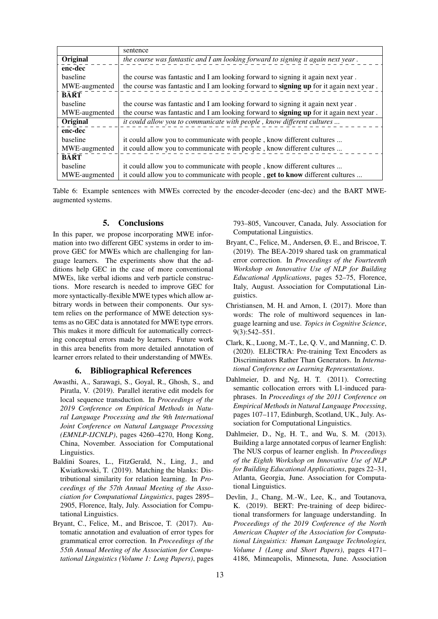|               | sentence                                                                                |
|---------------|-----------------------------------------------------------------------------------------|
| Original      | the course was fantastic and I am looking forward to signing it again next year.        |
| enc-dec       |                                                                                         |
| baseline      | the course was fantastic and I am looking forward to signing it again next year.        |
| MWE-augmented | the course was fantastic and I am looking forward to signing up for it again next year. |
| <b>BART</b>   |                                                                                         |
| baseline      | the course was fantastic and I am looking forward to signing it again next year.        |
| MWE-augmented | the course was fantastic and I am looking forward to signing up for it again next year. |
| Original      | it could allow you to communicate with people, know different cultures                  |
| enc-dec       |                                                                                         |
| baseline      | it could allow you to communicate with people, know different cultures                  |
| MWE-augmented | it could allow you to communicate with people, know different cultures                  |
| <b>BART</b>   |                                                                                         |
| baseline      | it could allow you to communicate with people, know different cultures                  |
| MWE-augmented | it could allow you to communicate with people, <b>get to know</b> different cultures    |

<span id="page-4-9"></span>Table 6: Example sentences with MWEs corrected by the encoder-decoder (enc-dec) and the BART MWEaugmented systems.

## 5. Conclusions

In this paper, we propose incorporating MWE information into two different GEC systems in order to improve GEC for MWEs which are challenging for language learners. The experiments show that the additions help GEC in the case of more conventional MWEs, like verbal idioms and verb particle constructions. More research is needed to improve GEC for more syntactically-flexible MWE types which allow arbitrary words in between their components. Our system relies on the performance of MWE detection systems as no GEC data is annotated for MWE type errors. This makes it more difficult for automatically correcting conceptual errors made by learners. Future work in this area benefits from more detailed annotation of learner errors related to their understanding of MWEs.

### 6. Bibliographical References

- <span id="page-4-2"></span>Awasthi, A., Sarawagi, S., Goyal, R., Ghosh, S., and Piratla, V. (2019). Parallel iterative edit models for local sequence transduction. In *Proceedings of the 2019 Conference on Empirical Methods in Natural Language Processing and the 9th International Joint Conference on Natural Language Processing (EMNLP-IJCNLP)*, pages 4260–4270, Hong Kong, China, November. Association for Computational Linguistics.
- <span id="page-4-7"></span>Baldini Soares, L., FitzGerald, N., Ling, J., and Kwiatkowski, T. (2019). Matching the blanks: Distributional similarity for relation learning. In *Proceedings of the 57th Annual Meeting of the Association for Computational Linguistics*, pages 2895– 2905, Florence, Italy, July. Association for Computational Linguistics.
- <span id="page-4-8"></span>Bryant, C., Felice, M., and Briscoe, T. (2017). Automatic annotation and evaluation of error types for grammatical error correction. In *Proceedings of the 55th Annual Meeting of the Association for Computational Linguistics (Volume 1: Long Papers)*, pages

793–805, Vancouver, Canada, July. Association for Computational Linguistics.

- <span id="page-4-6"></span>Bryant, C., Felice, M., Andersen, Ø. E., and Briscoe, T. (2019). The BEA-2019 shared task on grammatical error correction. In *Proceedings of the Fourteenth Workshop on Innovative Use of NLP for Building Educational Applications*, pages 52–75, Florence, Italy, August. Association for Computational Linguistics.
- <span id="page-4-0"></span>Christiansen, M. H. and Arnon, I. (2017). More than words: The role of multiword sequences in language learning and use. *Topics in Cognitive Science*, 9(3):542–551.
- <span id="page-4-3"></span>Clark, K., Luong, M.-T., Le, Q. V., and Manning, C. D. (2020). ELECTRA: Pre-training Text Encoders as Discriminators Rather Than Generators. In *International Conference on Learning Representations*.
- <span id="page-4-1"></span>Dahlmeier, D. and Ng, H. T. (2011). Correcting semantic collocation errors with L1-induced paraphrases. In *Proceedings of the 2011 Conference on Empirical Methods in Natural Language Processing*, pages 107–117, Edinburgh, Scotland, UK., July. Association for Computational Linguistics.
- <span id="page-4-5"></span>Dahlmeier, D., Ng, H. T., and Wu, S. M. (2013). Building a large annotated corpus of learner English: The NUS corpus of learner english. In *Proceedings of the Eighth Workshop on Innovative Use of NLP for Building Educational Applications*, pages 22–31, Atlanta, Georgia, June. Association for Computational Linguistics.
- <span id="page-4-4"></span>Devlin, J., Chang, M.-W., Lee, K., and Toutanova, K. (2019). BERT: Pre-training of deep bidirectional transformers for language understanding. In *Proceedings of the 2019 Conference of the North American Chapter of the Association for Computational Linguistics: Human Language Technologies, Volume 1 (Long and Short Papers)*, pages 4171– 4186, Minneapolis, Minnesota, June. Association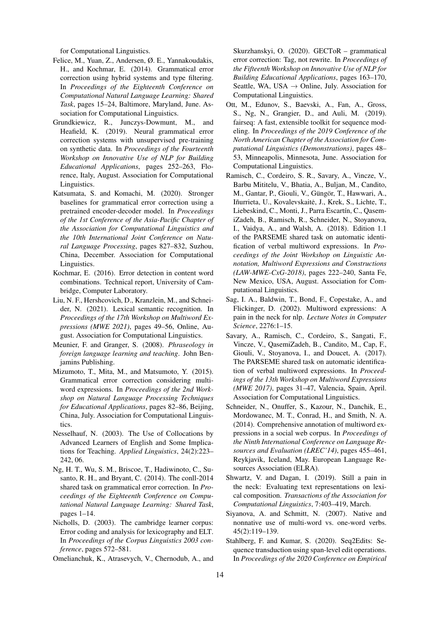for Computational Linguistics.

- <span id="page-5-6"></span>Felice, M., Yuan, Z., Andersen, Ø. E., Yannakoudakis, H., and Kochmar, E. (2014). Grammatical error correction using hybrid systems and type filtering. In *Proceedings of the Eighteenth Conference on Computational Natural Language Learning: Shared Task*, pages 15–24, Baltimore, Maryland, June. Association for Computational Linguistics.
- <span id="page-5-7"></span>Grundkiewicz, R., Junczys-Dowmunt, M., and Heafield, K. (2019). Neural grammatical error correction systems with unsupervised pre-training on synthetic data. In *Proceedings of the Fourteenth Workshop on Innovative Use of NLP for Building Educational Applications*, pages 252–263, Florence, Italy, August. Association for Computational Linguistics.
- <span id="page-5-10"></span>Katsumata, S. and Komachi, M. (2020). Stronger baselines for grammatical error correction using a pretrained encoder-decoder model. In *Proceedings of the 1st Conference of the Asia-Pacific Chapter of the Association for Computational Linguistics and the 10th International Joint Conference on Natural Language Processing*, pages 827–832, Suzhou, China, December. Association for Computational Linguistics.
- <span id="page-5-5"></span>Kochmar, E. (2016). Error detection in content word combinations. Technical report, University of Cambridge, Computer Laboratory.
- <span id="page-5-13"></span>Liu, N. F., Hershcovich, D., Kranzlein, M., and Schneider, N. (2021). Lexical semantic recognition. In *Proceedings of the 17th Workshop on Multiword Expressions (MWE 2021)*, pages 49–56, Online, August. Association for Computational Linguistics.
- <span id="page-5-1"></span>Meunier, F. and Granger, S. (2008). *Phraseology in foreign language learning and teaching*. John Benjamins Publishing.
- <span id="page-5-3"></span>Mizumoto, T., Mita, M., and Matsumoto, Y. (2015). Grammatical error correction considering multiword expressions. In *Proceedings of the 2nd Workshop on Natural Language Processing Techniques for Educational Applications*, pages 82–86, Beijing, China, July. Association for Computational Linguistics.
- <span id="page-5-4"></span>Nesselhauf, N. (2003). The Use of Collocations by Advanced Learners of English and Some Implications for Teaching. *Applied Linguistics*, 24(2):223– 242, 06.
- <span id="page-5-18"></span>Ng, H. T., Wu, S. M., Briscoe, T., Hadiwinoto, C., Susanto, R. H., and Bryant, C. (2014). The conll-2014 shared task on grammatical error correction. In *Proceedings of the Eighteenth Conference on Computational Natural Language Learning: Shared Task*, pages 1–14.
- <span id="page-5-16"></span>Nicholls, D. (2003). The cambridge learner corpus: Error coding and analysis for lexicography and ELT. In *Proceedings of the Corpus Linguistics 2003 conference*, pages 572–581.
- <span id="page-5-8"></span>Omelianchuk, K., Atrasevych, V., Chernodub, A., and

Skurzhanskyi, O. (2020). GECToR – grammatical error correction: Tag, not rewrite. In *Proceedings of the Fifteenth Workshop on Innovative Use of NLP for Building Educational Applications*, pages 163–170, Seattle, WA, USA  $\rightarrow$  Online, July. Association for Computational Linguistics.

- <span id="page-5-17"></span>Ott, M., Edunov, S., Baevski, A., Fan, A., Gross, S., Ng, N., Grangier, D., and Auli, M. (2019). fairseq: A fast, extensible toolkit for sequence modeling. In *Proceedings of the 2019 Conference of the North American Chapter of the Association for Computational Linguistics (Demonstrations)*, pages 48– 53, Minneapolis, Minnesota, June. Association for Computational Linguistics.
- <span id="page-5-12"></span>Ramisch, C., Cordeiro, S. R., Savary, A., Vincze, V., Barbu Mititelu, V., Bhatia, A., Buljan, M., Candito, M., Gantar, P., Giouli, V., Güngör, T., Hawwari, A., Iñurrieta, U., Kovalevskaitė, J., Krek, S., Lichte, T., Liebeskind, C., Monti, J., Parra Escartín, C., QasemiZadeh, B., Ramisch, R., Schneider, N., Stoyanova, I., Vaidya, A., and Walsh, A. (2018). Edition 1.1 of the PARSEME shared task on automatic identification of verbal multiword expressions. In *Proceedings of the Joint Workshop on Linguistic Annotation, Multiword Expressions and Constructions (LAW-MWE-CxG-2018)*, pages 222–240, Santa Fe, New Mexico, USA, August. Association for Computational Linguistics.
- <span id="page-5-0"></span>Sag, I. A., Baldwin, T., Bond, F., Copestake, A., and Flickinger, D. (2002). Multiword expressions: A pain in the neck for nlp. *Lecture Notes in Computer Science*, 2276:1–15.
- <span id="page-5-14"></span>Savary, A., Ramisch, C., Cordeiro, S., Sangati, F., Vincze, V., QasemiZadeh, B., Candito, M., Cap, F., Giouli, V., Stoyanova, I., and Doucet, A. (2017). The PARSEME shared task on automatic identification of verbal multiword expressions. In *Proceedings of the 13th Workshop on Multiword Expressions (MWE 2017)*, pages 31–47, Valencia, Spain, April. Association for Computational Linguistics.
- <span id="page-5-11"></span>Schneider, N., Onuffer, S., Kazour, N., Danchik, E., Mordowanec, M. T., Conrad, H., and Smith, N. A. (2014). Comprehensive annotation of multiword expressions in a social web corpus. In *Proceedings of the Ninth International Conference on Language Resources and Evaluation (LREC'14)*, pages 455–461, Reykjavik, Iceland, May. European Language Resources Association (ELRA).
- <span id="page-5-2"></span>Shwartz, V. and Dagan, I. (2019). Still a pain in the neck: Evaluating text representations on lexical composition. *Transactions of the Association for Computational Linguistics*, 7:403–419, March.
- <span id="page-5-15"></span>Siyanova, A. and Schmitt, N. (2007). Native and nonnative use of multi-word vs. one-word verbs. 45(2):119–139.
- <span id="page-5-9"></span>Stahlberg, F. and Kumar, S. (2020). Seq2Edits: Sequence transduction using span-level edit operations. In *Proceedings of the 2020 Conference on Empirical*